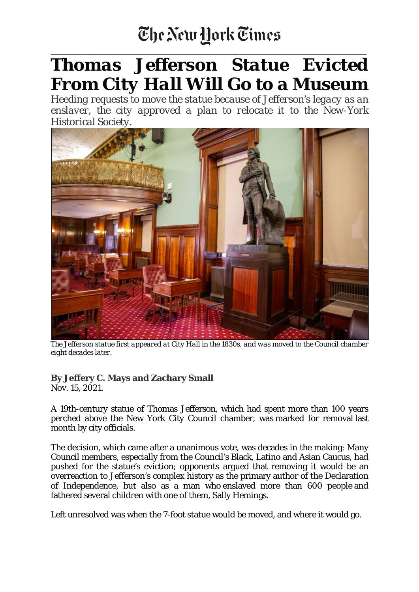## The New Hork Times

\_\_\_\_\_\_\_\_\_\_\_\_\_\_\_\_\_\_\_\_\_\_\_\_\_\_\_\_\_\_\_\_\_\_\_\_\_\_\_\_\_\_\_\_\_\_\_\_\_\_\_\_\_\_\_\_\_\_\_\_\_\_\_\_\_\_\_\_\_\_\_\_\_\_\_\_\_\_\_\_\_\_

## *Thomas Jefferson Statue Evicted From City Hall Will Go to a Museum*

*Heeding requests to move the statue because of Jefferson's legacy as an enslaver, the city approved a plan to relocate it to the New-York Historical Society.*



The Jefferson statue first appeared at City Hall in the 1830s, and was moved to the Council chamber *eight decades later.*

## **By Jeffery C. Mays and Zachary Small**

Nov. 15, 2021.

A 19th-century statue of Thomas Jefferson, which had spent more than 100 years perched above the New York City Council chamber, was marked for removal last month by city officials.

The decision, which came after a unanimous vote, was decades in the making: Many Council members, especially from the Council's Black, Latino and Asian Caucus, had pushed for the statue's eviction; opponents argued that removing it would be an overreaction to Jefferson's complex history as the primary author of the Declaration of Independence, but also as a man who enslaved more than 600 people and fathered several children with one of them, Sally Hemings.

Left unresolved was when the 7-foot statue would be moved, and where it would go.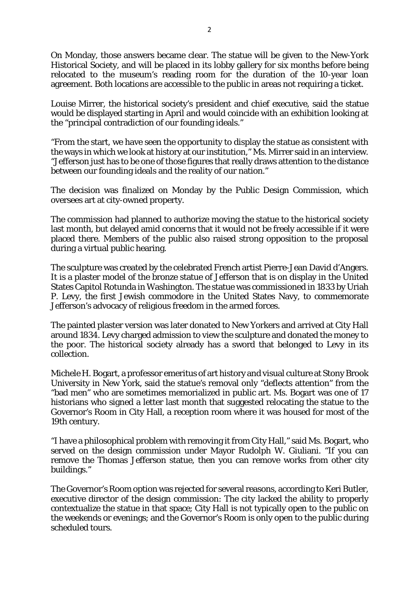On Monday, those answers became clear. The statue will be given to the New-York Historical Society, and will be placed in its lobby gallery for six months before being relocated to the museum's reading room for the duration of the 10-year loan agreement. Both locations are accessible to the public in areas not requiring a ticket.

Louise Mirrer, the historical society's president and chief executive, said the statue would be displayed starting in April and would coincide with an exhibition looking at the "principal contradiction of our founding ideals."

"From the start, we have seen the opportunity to display the statue as consistent with the ways in which we look at history at our institution," Ms. Mirrer said in an interview. "Jefferson just has to be one of those figures that really draws attention to the distance between our founding ideals and the reality of our nation."

The decision was finalized on Monday by the Public Design Commission, which oversees art at city-owned property.

The commission had planned to authorize moving the statue to the historical society last month, but delayed amid concerns that it would not be freely accessible if it were placed there. Members of the public also raised strong opposition to the proposal during a virtual public hearing.

The sculpture was created by the celebrated French artist Pierre-Jean David d'Angers. It is a plaster model of the bronze statue of Jefferson that is on display in the United States Capitol Rotunda in Washington. The statue was commissioned in 1833 by Uriah P. Levy, the first Jewish commodore in the United States Navy, to commemorate Jefferson's advocacy of religious freedom in the armed forces.

The painted plaster version was later donated to New Yorkers and arrived at City Hall around 1834. Levy charged admission to view the sculpture and donated the money to the poor. The historical society already has a sword that belonged to Levy in its collection.

Michele H. Bogart, a professor emeritus of art history and visual culture at Stony Brook University in New York, said the statue's removal only "deflects attention" from the "bad men" who are sometimes memorialized in public art. Ms. Bogart was one of 17 historians who signed a letter last month that suggested relocating the statue to the Governor's Room in City Hall, a reception room where it was housed for most of the 19th century.

"I have a philosophical problem with removing it from City Hall," said Ms. Bogart, who served on the design commission under Mayor Rudolph W. Giuliani. "If you can remove the Thomas Jefferson statue, then you can remove works from other city buildings."

The Governor's Room option was rejected for several reasons, according to Keri Butler, executive director of the design commission: The city lacked the ability to properly contextualize the statue in that space; City Hall is not typically open to the public on the weekends or evenings; and the Governor's Room is only open to the public during scheduled tours.